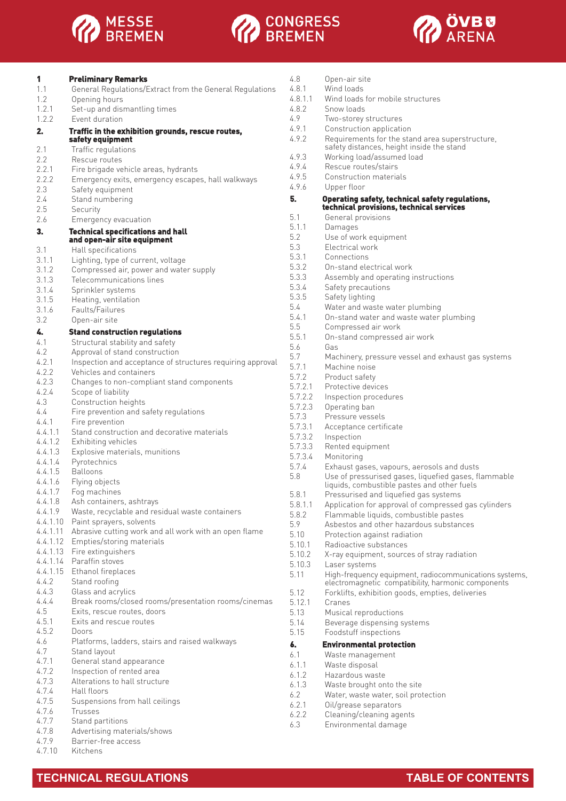





| 1        | <b>Preliminary Remarks</b>                                 |
|----------|------------------------------------------------------------|
| 1.1      | General Regulations/Extract from the General Regulations   |
| 1.2      | Opening hours                                              |
| 1.2.1    | Set-up and dismantling times                               |
| 1.2.2    | Event duration                                             |
|          |                                                            |
| 2.       | Traffic in the exhibition grounds, rescue routes,          |
|          | safety equipment                                           |
| 2.1      | Traffic regulations                                        |
| 2.2      | Rescue routes                                              |
| 2.2.1    | Fire brigade vehicle areas, hydrants                       |
| 2.2.2    | Emergency exits, emergency escapes, hall walkways          |
| 2.3      | Safety equipment                                           |
| 2.4      | Stand numbering                                            |
| 2.5      | Security                                                   |
| 2.6      | Emergency evacuation                                       |
| 3.       | <b>Technical specifications and hall</b>                   |
|          | and open-air site equipment                                |
| 3.1      |                                                            |
|          | Hall specifications                                        |
| 3.1.1    | Lighting, type of current, voltage                         |
| 3.1.2    | Compressed air, power and water supply                     |
| 3.1.3    | Telecommunications lines                                   |
| 3.1.4    | Sprinkler systems                                          |
| 3.1.5    | Heating, ventilation                                       |
| 3.1.6    | Faults/Failures                                            |
| 32       | Open-air site                                              |
| 4.       | <b>Stand construction regulations</b>                      |
| 4.1      |                                                            |
|          | Structural stability and safety                            |
| 4.2      | Approval of stand construction                             |
| 4.2.1    | Inspection and acceptance of structures requiring approval |
| 4.2.2    | Vehicles and containers                                    |
| 4.2.3    | Changes to non-compliant stand components                  |
| 4.2.4    | Scope of liability                                         |
| 4.3      | Construction heights                                       |
| 4.4      | Fire prevention and safety regulations                     |
| 4.4.1    | Fire prevention                                            |
| 4.4.1.1  | Stand construction and decorative materials                |
| 4.4.1.2  | Exhibiting vehicles                                        |
| 4.4.1.3  |                                                            |
|          | Explosive materials, munitions                             |
| 4.4.1.4  | Pyrotechnics                                               |
| 4.4.1.5  | Balloons                                                   |
| 4.4.1.6  | Flying objects                                             |
| 4.4.1.7  | Fog machines                                               |
| 4.4.1.8  | Ash containers, ashtrays                                   |
| 4.4.1.9  | Waste, recyclable and residual waste containers            |
| 4.4.1.10 | Paint sprayers, solvents                                   |
| 4.4.1.11 | Abrasive cutting work and all work with an open flame      |
| 4.4.1.12 | Empties/storing materials                                  |
| 4.4.1.13 | Fire extinguishers                                         |
| 4.4.1.14 | Paraffin stoves                                            |
| 4.4.1.15 | Ethanol fireplaces                                         |
| 4.4.2    |                                                            |
|          | Stand roofing                                              |
| 4.4.3    | Glass and acrylics                                         |
| 4.4.4    | Break rooms/closed rooms/presentation rooms/cinemas        |
| 4.5      | Exits, rescue routes, doors                                |
| 4.5.1    | Exits and rescue routes                                    |
| 4.5.2    | Doors                                                      |
| 4.6      | Platforms, ladders, stairs and raised walkways             |
| 4.7      | Stand layout                                               |
| 4.7.1    | General stand appearance                                   |
| 4.7.2    | Inspection of rented area                                  |
| 4.7.3    | Alterations to hall structure                              |
| 4.7.4    | Hall floors                                                |
| 4.7.5    |                                                            |
|          | Suspensions from hall ceilings                             |
| 4.7.6    | Trusses                                                    |
| 4.7.7    | Stand partitions                                           |
| 4.7.8    | Advertising materials/shows                                |

| <del>. .</del> |                     |
|----------------|---------------------|
| 479            | Barrier-free access |

4.7.9 Barrier-free access<br>4.7.10 Kitchens **Kitchens** 

| 4.8     | Open-air site                                                                                       |
|---------|-----------------------------------------------------------------------------------------------------|
| 4.8.1   | Wind loads                                                                                          |
| 4.8.1.1 | Wind loads for mobile structures                                                                    |
| 4.8.2   | Snow loads                                                                                          |
| 4.9     | Two-storey structures                                                                               |
| 4.9.1   | Construction application                                                                            |
| 4.9.2   | Requirements for the stand area superstructure,<br>safety distances, height inside the stand        |
| 4.9.3   | Working load/assumed load                                                                           |
| 4.9.4   | Rescue routes/stairs                                                                                |
| 4.9.5   | Construction materials                                                                              |
| 496     | Upper floor                                                                                         |
| 5.      | Operating safety, technical safety regulations,                                                     |
|         | technical provisions, technical services                                                            |
| 5.1     | General provisions                                                                                  |
| 5.1.1   | Damages                                                                                             |
| 5.2     | Use of work equipment                                                                               |
| 5.3     | Electrical work                                                                                     |
| 5.3.1   | Connections                                                                                         |
| 5.3.2   | On-stand electrical work                                                                            |
| 5.3.3   | Assembly and operating instructions                                                                 |
| 5.3.4   | Safety precautions                                                                                  |
| 5.3.5   | Safety lighting                                                                                     |
| 5.4     | Water and waste water plumbing                                                                      |
| 5.4.1   | On-stand water and waste water plumbing                                                             |
| 5.5     | Compressed air work                                                                                 |
| 5.5.1   | On-stand compressed air work                                                                        |
| 5.6     | Gas                                                                                                 |
| 5.7     | Machinery, pressure vessel and exhaust gas systems                                                  |
| 5.7.1   | Machine noise                                                                                       |
| 5.7.2   | Product safety                                                                                      |
| 5.7.2.1 | Protective devices                                                                                  |
| 5.7.2.2 | Inspection procedures                                                                               |
| 5.7.2.3 | Operating ban                                                                                       |
| 5.7.3   | Pressure vessels                                                                                    |
| 5.7.3.1 | Acceptance certificate                                                                              |
| 5.7.3.2 | Inspection                                                                                          |
| 5.7.3.3 | Rented equipment                                                                                    |
| 5.7.3.4 | Monitoring                                                                                          |
| 5.7.4   | Exhaust gases, vapours, aerosols and dusts                                                          |
| 5.8     | Use of pressurised gases, liquefied gases, flammable<br>liquids, combustible pastes and other fuels |
| 5.8.1   | Pressurised and liquefied gas systems                                                               |
| 5.8.1.1 | Application for approval of compressed gas cylinders                                                |
| 5.8.2   | Flammable liquids, combustible pastes                                                               |
| 5.9     | Asbestos and other hazardous substances                                                             |
| 5.10    | Protection against radiation                                                                        |
| 5.10.1  | Radioactive substances                                                                              |
| 5.10.2  | X-ray equipment, sources of stray radiation                                                         |
| 5.10.3  | Laser systems                                                                                       |
| 5.11    | High-frequency equipment, radiocommunications systems,                                              |
|         | electromagnetic compatibility, harmonic components                                                  |
| 5.12    | Forklifts, exhibition goods, empties, deliveries                                                    |
| 5.12.1  | Cranes                                                                                              |
| 5.13    | Musical reproductions                                                                               |
| 5.14    | Beverage dispensing systems                                                                         |
| 5.15    | Foodstuff inspections                                                                               |
| 6.      | <b>Environmental protection</b>                                                                     |
| 6.1     | Waste management                                                                                    |
| 6.1.1   | Waste disposal                                                                                      |
| 6.1.2   | Hazardous waste                                                                                     |
| 6.1.3   | Waste brought onto the site                                                                         |
| 6.2     | Water, waste water, soil protection                                                                 |
| 6.2.1   | Oil/grease separators                                                                               |
| 6.2.2   | Cleaning/cleaning agents                                                                            |
| 6.3     | Environmental damage                                                                                |
|         |                                                                                                     |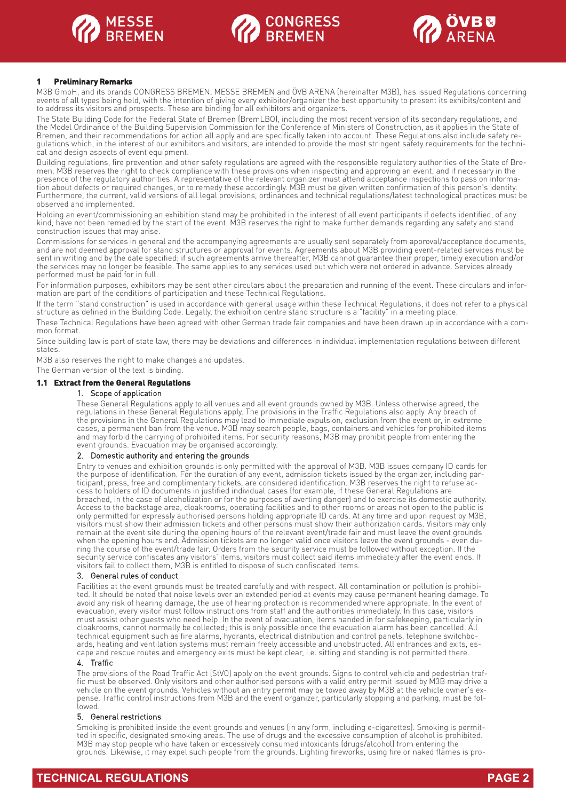





#### **1 Preliminary Remarks**

M3B GmbH, and its brands CONGRESS BREMEN, MESSE BREMEN and ÖVB ARENA (hereinafter M3B), has issued Regulations concerning events of all types being held, with the intention of giving every exhibitor/organizer the best opportunity to present its exhibits/content and to address its visitors and prospects. These are binding for all exhibitors and organizers.

The State Building Code for the Federal State of Bremen (BremLBO), including the most recent version of its secondary regulations, and the Model Ordinance of the Building Supervision Commission for the Conference of Ministers of Construction, as it applies in the State of Bremen, and their recommendations for action all apply and are specifically taken into account. These Regulations also include safety regulations which, in the interest of our exhibitors and visitors, are intended to provide the most stringent safety requirements for the technical and design aspects of event equipment.

Building regulations, fire prevention and other safety regulations are agreed with the responsible regulatory authorities of the State of Bremen. M3B reserves the right to check compliance with these provisions when inspecting and approving an event, and if necessary in the presence of the regulatory authorities. A representative of the relevant organizer must attend acceptance inspections to pass on information about defects or required changes, or to remedy these accordingly. M3B must be given written confirmation of this person's identity. Furthermore, the current, valid versions of all legal provisions, ordinances and technical regulations/latest technological practices must be observed and implemented.

Holding an event/commissioning an exhibition stand may be prohibited in the interest of all event participants if defects identified, of any kind, have not been remedied by the start of the event. M3B reserves the right to make further demands regarding any safety and stand construction issues that may arise.

Commissions for services in general and the accompanying agreements are usually sent separately from approval/acceptance documents, and are not deemed approval for stand structures or approval for events. Agreements about M3B providing event-related services must be sent in writing and by the date specified; if such agreements arrive thereafter, M3B cannot guarantee their proper, timely execution and/or the services may no longer be feasible. The same applies to any services used but which were not ordered in advance. Services already performed must be paid for in full.

For information purposes, exhibitors may be sent other circulars about the preparation and running of the event. These circulars and information are part of the conditions of participation and these Technical Regulations.

If the term "stand construction" is used in accordance with general usage within these Technical Regulations, it does not refer to a physical structure as defined in the Building Code. Legally, the exhibition centre stand structure is a "facility" in a meeting place.

These Technical Regulations have been agreed with other German trade fair companies and have been drawn up in accordance with a common format.

Since building law is part of state law, there may be deviations and differences in individual implementation regulations between different states.

M3B also reserves the right to make changes and updates.

The German version of the text is binding.

#### **1.1 Extract from the General Regulations**

### 1. Scope of application

These General Regulations apply to all venues and all event grounds owned by M3B. Unless otherwise agreed, the regulations in these General Regulations apply. The provisions in the Traffic Regulations also apply. Any breach of the provisions in the General Regulations may lead to immediate expulsion, exclusion from the event or, in extreme cases, a permanent ban from the venue. M3B may search people, bags, containers and vehicles for prohibited items and may forbid the carrying of prohibited items. For security reasons, M3B may prohibit people from entering the event grounds. Evacuation may be organised accordingly.

#### 2. Domestic authority and entering the grounds

Entry to venues and exhibition grounds is only permitted with the approval of M3B. M3B issues company ID cards for the purpose of identification. For the duration of any event, admission tickets issued by the organizer, including participant, press, free and complimentary tickets, are considered identification. M3B reserves the right to refuse access to holders of ID documents in justified individual cases (for example, if these General Regulations are breached, in the case of alcoholization or for the purposes of averting danger) and to exercise its domestic authority. Access to the backstage area, cloakrooms, operating facilities and to other rooms or areas not open to the public is only permitted for expressly authorised persons holding appropriate ID cards. At any time and upon request by M3B, visitors must show their admission tickets and other persons must show their authorization cards. Visitors may only remain at the event site during the opening hours of the relevant event/trade fair and must leave the event grounds when the opening hours end. Admission tickets are no longer valid once visitors leave the event grounds - even during the course of the event/trade fair. Orders from the security service must be followed without exception. If the security service confiscates any visitors' items, visitors must collect said items immediately after the event ends. If visitors fail to collect them, M3B is entitled to dispose of such confiscated items.

#### 3. General rules of conduct

Facilities at the event grounds must be treated carefully and with respect. All contamination or pollution is prohibited. It should be noted that noise levels over an extended period at events may cause permanent hearing damage. To avoid any risk of hearing damage, the use of hearing protection is recommended where appropriate. In the event of evacuation, every visitor must follow instructions from staff and the authorities immediately. In this case, visitors must assist other guests who need help. In the event of evacuation, items handed in for safekeeping, particularly in cloakrooms, cannot normally be collected; this is only possible once the evacuation alarm has been cancelled. All technical equipment such as fire alarms, hydrants, electrical distribution and control panels, telephone switchboards, heating and ventilation systems must remain freely accessible and unobstructed. All entrances and exits, escape and rescue routes and emergency exits must be kept clear, i.e. sitting and standing is not permitted there.

#### 4. Traffic

The provisions of the Road Traffic Act (StVO) apply on the event grounds. Signs to control vehicle and pedestrian traffic must be observed. Only visitors and other authorised persons with a valid entry permit issued by M3B may drive a vehicle on the event grounds. Vehicles without an entry permit may be towed away by M3B at the vehicle owner's expense. Traffic control instructions from M3B and the event organizer, particularly stopping and parking, must be followed.

#### 5. General restrictions

Smoking is prohibited inside the event grounds and venues (in any form, including e-cigarettes). Smoking is permitted in specific, designated smoking areas. The use of drugs and the excessive consumption of alcohol is prohibited. M3B may stop people who have taken or excessively consumed intoxicants (drugs/alcohol) from entering the grounds. Likewise, it may expel such people from the grounds. Lighting fireworks, using fire or naked flames is pro-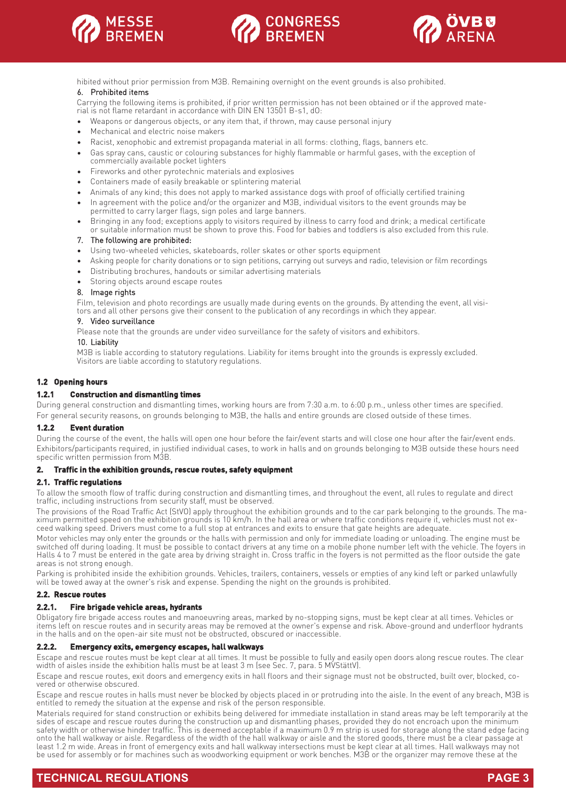





hibited without prior permission from M3B. Remaining overnight on the event grounds is also prohibited.

#### 6. Prohibited items

Carrying the following items is prohibited, if prior written permission has not been obtained or if the approved material is not flame retardant in accordance with DIN EN 13501 B-s1, dO:

- Weapons or dangerous objects, or any item that, if thrown, may cause personal injury
- Mechanical and electric noise makers
- Racist, xenophobic and extremist propaganda material in all forms: clothing, flags, banners etc.
- Gas spray cans, caustic or colouring substances for highly flammable or harmful gases, with the exception of commercially available pocket lighters
- Fireworks and other pyrotechnic materials and explosives
- Containers made of easily breakable or splintering material
- Animals of any kind; this does not apply to marked assistance dogs with proof of officially certified training
- In agreement with the police and/or the organizer and M3B, individual visitors to the event grounds may be permitted to carry larger flags, sign poles and large banners.
- Bringing in any food; exceptions apply to visitors required by illness to carry food and drink; a medical certificate or suitable information must be shown to prove this. Food for babies and toddlers is also excluded from this rule.

#### 7. The following are prohibited:

- Using two-wheeled vehicles, skateboards, roller skates or other sports equipment
- Asking people for charity donations or to sign petitions, carrying out surveys and radio, television or film recordings
- Distributing brochures, handouts or similar advertising materials
- Storing objects around escape routes

#### 8. Image rights

Film, television and photo recordings are usually made during events on the grounds. By attending the event, all visitors and all other persons give their consent to the publication of any recordings in which they appear.

#### 9. Video surveillance

Please note that the grounds are under video surveillance for the safety of visitors and exhibitors.

#### 10. Liability

M3B is liable according to statutory regulations. Liability for items brought into the grounds is expressly excluded. Visitors are liable according to statutory regulations.

#### **1.2 Opening hours**

#### **1.2.1 Construction and dismantling times**

During general construction and dismantling times, working hours are from 7:30 a.m. to 6:00 p.m., unless other times are specified. For general security reasons, on grounds belonging to M3B, the halls and entire grounds are closed outside of these times.

#### **1.2.2 Event duration**

During the course of the event, the halls will open one hour before the fair/event starts and will close one hour after the fair/event ends. Exhibitors/participants required, in justified individual cases, to work in halls and on grounds belonging to M3B outside these hours need specific written permission from M3B.

#### **2. Traffic in the exhibition grounds, rescue routes, safety equipment**

#### **2.1. Traffic regulations**

To allow the smooth flow of traffic during construction and dismantling times, and throughout the event, all rules to regulate and direct traffic, including instructions from security staff, must be observed.

The provisions of the Road Traffic Act (StVO) apply throughout the exhibition grounds and to the car park belonging to the grounds. The maximum permitted speed on the exhibition grounds is 10 km/h. In the hall area or where traffic conditions require it, vehicles must not exceed walking speed. Drivers must come to a full stop at entrances and exits to ensure that gate heights are adequate.

Motor vehicles may only enter the grounds or the halls with permission and only for immediate loading or unloading. The engine must be switched off during loading. It must be possible to contact drivers at any time on a mobile phone number left with the vehicle. The foyers in Halls 4 to 7 must be entered in the gate area by driving straight in. Cross traffic in the foyers is not permitted as the floor outside the gate areas is not strong enough.

Parking is prohibited inside the exhibition grounds. Vehicles, trailers, containers, vessels or empties of any kind left or parked unlawfully will be towed away at the owner's risk and expense. Spending the night on the grounds is prohibited.

#### **2.2. Rescue routes**

#### **2.2.1. Fire brigade vehicle areas, hydrants**

Obligatory fire brigade access routes and manoeuvring areas, marked by no-stopping signs, must be kept clear at all times. Vehicles or items left on rescue routes and in security areas may be removed at the owner's expense and risk. Above-ground and underfloor hydrants in the halls and on the open-air site must not be obstructed, obscured or inaccessible.

#### **2.2.2. Emergency exits, emergency escapes, hall walkways**

Escape and rescue routes must be kept clear at all times. It must be possible to fully and easily open doors along rescue routes. The clear width of aisles inside the exhibition halls must be at least 3 m (see Sec. 7, para. 5 MVStättV).

Escape and rescue routes, exit doors and emergency exits in hall floors and their signage must not be obstructed, built over, blocked, covered or otherwise obscured.

Escape and rescue routes in halls must never be blocked by objects placed in or protruding into the aisle. In the event of any breach, M3B is entitled to remedy the situation at the expense and risk of the person responsible.

Materials required for stand construction or exhibits being delivered for immediate installation in stand areas may be left temporarily at the sides of escape and rescue routes during the construction up and dismantling phases, provided they do not encroach upon the minimum safety width or otherwise hinder traffic. This is deemed acceptable if a maximum 0.9 m strip is used for storage along the stand edge facing onto the hall walkway or aisle. Regardless of the width of the hall walkway or aisle and the stored goods, there must be a clear passage at least 1.2 m wide. Areas in front of emergency exits and hall walkway intersections must be kept clear at all times. Hall walkways may not be used for assembly or for machines such as woodworking equipment or work benches. M3B or the organizer may remove these at the

## **TECHNICAL REGULATIONS PAGE 3**

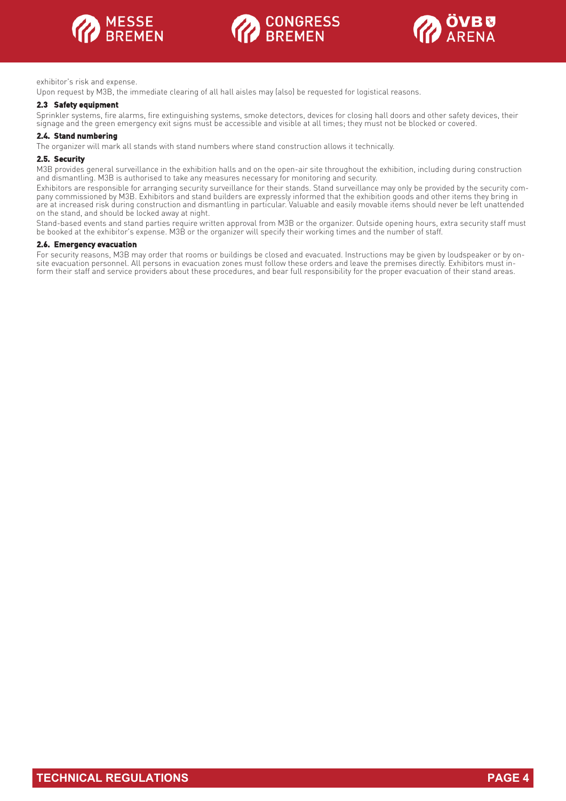





exhibitor's risk and expense.

Upon request by M3B, the immediate clearing of all hall aisles may (also) be requested for logistical reasons.

#### **2.3 Safety equipment**

Sprinkler systems, fire alarms, fire extinguishing systems, smoke detectors, devices for closing hall doors and other safety devices, their signage and the green emergency exit signs must be accessible and visible at all times; they must not be blocked or covered.

#### **2.4. Stand numbering**

The organizer will mark all stands with stand numbers where stand construction allows it technically.

#### **2.5. Security**

M3B provides general surveillance in the exhibition halls and on the open-air site throughout the exhibition, including during construction and dismantling. M3B is authorised to take any measures necessary for monitoring and security.

Exhibitors are responsible for arranging security surveillance for their stands. Stand surveillance may only be provided by the security company commissioned by M3B. Exhibitors and stand builders are expressly informed that the exhibition goods and other items they bring in are at increased risk during construction and dismantling in particular. Valuable and easily movable items should never be left unattended on the stand, and should be locked away at night.

Stand-based events and stand parties require written approval from M3B or the organizer. Outside opening hours, extra security staff must be booked at the exhibitor's expense. M3B or the organizer will specify their working times and the number of staff.

#### **2.6. Emergency evacuation**

For security reasons, M3B may order that rooms or buildings be closed and evacuated. Instructions may be given by loudspeaker or by onsite evacuation personnel. All persons in evacuation zones must follow these orders and leave the premises directly. Exhibitors must inform their staff and service providers about these procedures, and bear full responsibility for the proper evacuation of their stand areas.

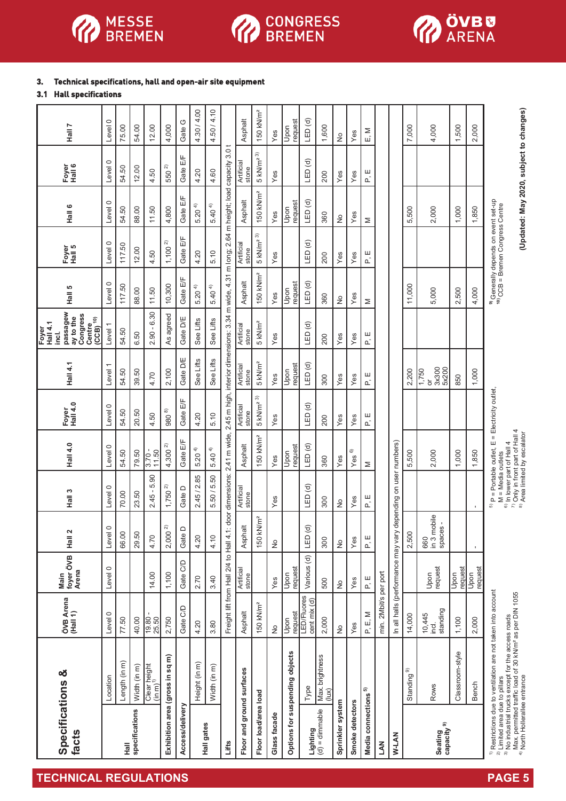

# **OD** CONGRESS

# **3. Technical specifications, hall and open-air site equipment**

# **3.1 Hall specifications**

| Specifications &<br>facts         |                                                                                                                                                                                                                                                                                                  | ÖVB Arena<br>(Hall 1)                   | foyer ÖVB<br>Arena<br>Main | Hall 2                         | Hall 3                                                                                     | <b>Hall 4.0</b>                                                                                    | <b>Hail 4.0</b><br>Foyer | Hall 4.1                                                | passagew<br>Congress<br>ay to the<br><b>Centre</b><br>Centre<br>The 10)<br><b>Hall 4.1</b><br>(CCB)<br>Foyer<br>inci. | Hall 5                     | Foyer<br>Hall 5                                                                                | Hall 6                                  | Foyer<br>Hall 6          | Hall 7                |
|-----------------------------------|--------------------------------------------------------------------------------------------------------------------------------------------------------------------------------------------------------------------------------------------------------------------------------------------------|-----------------------------------------|----------------------------|--------------------------------|--------------------------------------------------------------------------------------------|----------------------------------------------------------------------------------------------------|--------------------------|---------------------------------------------------------|-----------------------------------------------------------------------------------------------------------------------|----------------------------|------------------------------------------------------------------------------------------------|-----------------------------------------|--------------------------|-----------------------|
|                                   | Location                                                                                                                                                                                                                                                                                         | Level 0                                 | Level 0                    | $\circ$<br>Level               | Level 0                                                                                    | Level 0                                                                                            | Level 0                  | $\overline{\phantom{0}}$<br>Level                       | Level 1                                                                                                               | Level 0                    | Level 0                                                                                        | Level 0                                 | Level 0                  | Level 0               |
| $\frac{1}{2}$                     | Length (in m)                                                                                                                                                                                                                                                                                    | 77.50                                   |                            | 66.00                          | 70.00                                                                                      | 54.50                                                                                              | 54.50                    | 54.50                                                   | 54.50                                                                                                                 | 117.50                     | 117.50                                                                                         | 54.50                                   | 54.50                    | 75.00                 |
| specifications                    | Width (in m)                                                                                                                                                                                                                                                                                     | 40.00                                   |                            | 29.50                          | 23.50                                                                                      | 79.50                                                                                              | 20.50                    | 39.50                                                   | 6.50                                                                                                                  | 88.00                      | 12.00                                                                                          | 88.00                                   | 12.00                    | 54.00                 |
|                                   | Clear height $(\mathsf{in\,m})^{1)}$                                                                                                                                                                                                                                                             | 19.80<br>25.50                          | 14.00                      | 4.70                           | 5.90<br>$\,$<br>2.45                                                                       | $3.70 -$<br>11.50                                                                                  | 4.50                     | 4.70                                                    | $2.90 - 6.30$                                                                                                         | 11.50                      | 4.50                                                                                           | 11.50                                   | 4.50                     | 12.00                 |
|                                   | Exhibition area (gross in sq m)                                                                                                                                                                                                                                                                  | 2,750                                   | 1,100                      | $\widehat{\sim}$<br>2,000      | $1,750$ <sup>2)</sup>                                                                      | 4,300 <sup>2</sup>                                                                                 | $980$ %                  | 2,100                                                   | As agreed                                                                                                             | 10,300                     | $1,100^{2}$                                                                                    | 4,800                                   | 550 <sup>2)</sup>        | 4,000                 |
| Access/delivery                   |                                                                                                                                                                                                                                                                                                  | Gate C/D                                | Gate C/D                   | ≏<br>Gate I                    | Gate D                                                                                     | Gate E/F                                                                                           | Gate E/F                 | Gate D/E                                                | Gate D/E                                                                                                              | Gate E/F                   | Gate E/F                                                                                       | Gate E/F                                | Gate E/F                 | Gate G                |
|                                   | Height (in m)                                                                                                                                                                                                                                                                                    | 4.20                                    | 2.70                       | 4.20                           | 2.45 / 2.85                                                                                | $5.20^{(4)}$                                                                                       | 4.20                     | See Lifts                                               | See Lifts                                                                                                             | $5.20^{(4)}$               | 4.20                                                                                           | $5.20^{(4)}$                            | 4.20                     | 4.30 / 4.00           |
| Hall gates                        | Width (in m)                                                                                                                                                                                                                                                                                     | 3.80                                    | 3.40                       | 4.10                           | 5.50 / 5.50                                                                                | $5.40^{(4)}$                                                                                       | 5.10                     | See Lifts                                               | See Lifts                                                                                                             | $5.40^{4}$                 | 5.10                                                                                           | $5.40^{4}$                              | 4.60                     | 4.50 / 4.10           |
| Lifts                             |                                                                                                                                                                                                                                                                                                  | Freight lift from Hall 2/4 to Hall 4.1: |                            |                                | door dimensions: 2.41 m wide,                                                              |                                                                                                    |                          | 2.45 m high, interior dimensions: 3.34                  |                                                                                                                       | m wide, 4.31 m long; 2.64  |                                                                                                | m height; load capacity                 | 3.0 <sub>t</sub>         |                       |
| Floor and ground surfaces         |                                                                                                                                                                                                                                                                                                  | Asphalt                                 | Artificial<br>stone        | Asphalt                        | Artificial<br>stone                                                                        | Asphalt                                                                                            | Artificial<br>stone      | Artificial<br>stone                                     | Artificial<br>stone                                                                                                   | Asphalt                    | Artificial<br>stone                                                                            | Asphalt                                 | Artificial<br>stone      | Asphalt               |
| Floor load/area load              |                                                                                                                                                                                                                                                                                                  | 150 kN/m <sup>2</sup>                   |                            | 150 kN/m <sup>2</sup>          |                                                                                            | 150 kN/m <sup>2</sup>                                                                              | $5$ kN/m <sup>2 3)</sup> | $5$ kN/m <sup>2</sup>                                   | $5$ kN/m <sup>2</sup>                                                                                                 | 150 kN/m <sup>2</sup>      | $5 \ \mathrm{kN/m^2}$ 3)                                                                       | 150 kN/m <sup>2</sup>                   | $5$ kN/m <sup>2 3)</sup> | 150 kN/m <sup>2</sup> |
| Glass facade                      |                                                                                                                                                                                                                                                                                                  | $\frac{1}{2}$                           | Yes                        | $\frac{1}{2}$                  | Yes                                                                                        | Yes                                                                                                | Yes                      | Yes                                                     | Yes                                                                                                                   | Yes                        | Yes                                                                                            | Yes                                     | Yes                      | Yes                   |
|                                   | Options for suspending objects                                                                                                                                                                                                                                                                   | request<br>Upon                         | request<br>Upon            |                                |                                                                                            | request<br>Upon                                                                                    |                          | request<br>Upon                                         |                                                                                                                       | request<br>Upon            |                                                                                                | request<br>Upon                         |                          | request<br>Upon       |
| Lighting                          | Type                                                                                                                                                                                                                                                                                             | LED/Fluores<br>cent mix (d)             | Various (d)                | LED (d)                        | LED <sub>(d)</sub>                                                                         | LED(d)                                                                                             | LED <sub>(d)</sub>       | LED(d)                                                  | LED(d)                                                                                                                | LED(d)                     | LED <sub>(d)</sub>                                                                             | LED <sub>(d)</sub>                      | LED(d)                   | LED(d)                |
| $(d) =$ dimmable                  | Max. brightness<br>(lux)                                                                                                                                                                                                                                                                         | 2,000                                   | 500                        | 300                            | 300                                                                                        | 360                                                                                                | 200                      | 300                                                     | 200                                                                                                                   | 360                        | 200                                                                                            | 360                                     | 200                      | 1,600                 |
| Sprinkler system                  |                                                                                                                                                                                                                                                                                                  | $\stackrel{\circ}{\simeq}$              | $\frac{1}{2}$              | $\frac{1}{2}$                  | $\frac{1}{2}$                                                                              | Yes                                                                                                | Yes                      | Yes                                                     | Yes                                                                                                                   | $\stackrel{\circ}{\simeq}$ | Yes                                                                                            | $\frac{1}{2}$                           | Yes                      | ş                     |
| Smoke detectors                   |                                                                                                                                                                                                                                                                                                  | Yes                                     | Yes                        | $Y$ es                         | $Y$ es                                                                                     | Yes <sup>6</sup>                                                                                   | Yes                      | Yes                                                     | Yes                                                                                                                   | Yes                        | Yes                                                                                            | Yes                                     | $Y$ es                   | Yes                   |
| Media connections <sup>5)</sup>   |                                                                                                                                                                                                                                                                                                  | P, E, M                                 | 山                          | 山心                             | 口。                                                                                         | Σ                                                                                                  | Р.<br>Г                  | 口。                                                      | 口。                                                                                                                    | Σ                          | 口。                                                                                             | Σ                                       | 口。                       | ∑<br>⊡                |
| <b>M</b>                          |                                                                                                                                                                                                                                                                                                  | min. 2Mbit/s per port                   |                            |                                |                                                                                            |                                                                                                    |                          |                                                         |                                                                                                                       |                            |                                                                                                |                                         |                          |                       |
| W-LAN                             |                                                                                                                                                                                                                                                                                                  | In all halls (performance may vary      |                            |                                | depending on user numbers)                                                                 |                                                                                                    |                          |                                                         |                                                                                                                       |                            |                                                                                                |                                         |                          |                       |
|                                   | Standing <sup>9)</sup>                                                                                                                                                                                                                                                                           | 14,000                                  |                            | 2,500                          |                                                                                            | 5,500                                                                                              |                          | 2,200                                                   |                                                                                                                       | 11,000                     |                                                                                                | 5,500                                   |                          | 7,000                 |
| Seating<br>capacity <sup>9)</sup> | Rows                                                                                                                                                                                                                                                                                             | standing<br>10,445<br>inci.             | request<br>Upon            | 660<br>in 3 mobile<br>spaces - |                                                                                            | 2,000                                                                                              |                          | 3x300<br>5x200<br>1,750<br>$\overleftarrow{\mathrm{o}}$ |                                                                                                                       | 5,000                      |                                                                                                | 2,000                                   |                          | 4,000                 |
|                                   | Classroom-style                                                                                                                                                                                                                                                                                  | 1,100                                   | request<br>Upon            |                                |                                                                                            | 1,000                                                                                              |                          | 850                                                     |                                                                                                                       | 2,500                      |                                                                                                | 1,000                                   |                          | 1,500                 |
|                                   | <b>Bench</b>                                                                                                                                                                                                                                                                                     | 2,000                                   | request<br>lpon            |                                | $\mathbf{I}$                                                                               | 1,850                                                                                              |                          | 1,000                                                   |                                                                                                                       | 4,000                      |                                                                                                | 1,850                                   |                          | 2,000                 |
|                                   | $\frac{1}{n}$ Restrictions due to ventilation are not taken into account<br>2) transcourse and the pillars<br><sup>3)</sup> No industrial trucks except for the access roads<br>Max, permitted traffic load of 30 kN/m <sup>2</sup> as per DIN 1055<br>4 <sup>)</sup> North Hollerallee entrance |                                         |                            |                                | <sup>6)</sup> In lower part of Hall 4<br>$5$ P = Portable outlet, E<br>$M = Media outlets$ | $\,$ II                                                                                            | Electricity outlet,      |                                                         |                                                                                                                       |                            | <sup>9)</sup> Generally depends on event set-up<br><sup>10)</sup> CCB = Bremen Congress Centre |                                         |                          |                       |
|                                   |                                                                                                                                                                                                                                                                                                  |                                         |                            |                                |                                                                                            | יי ייטיאיטיי אייטיי ייטיאיי ייטי<br>Only in front part of Hall 4<br>יווח Area limited by escalator |                          |                                                         |                                                                                                                       |                            |                                                                                                | (Updated: May 2020, subject to changes) |                          |                       |



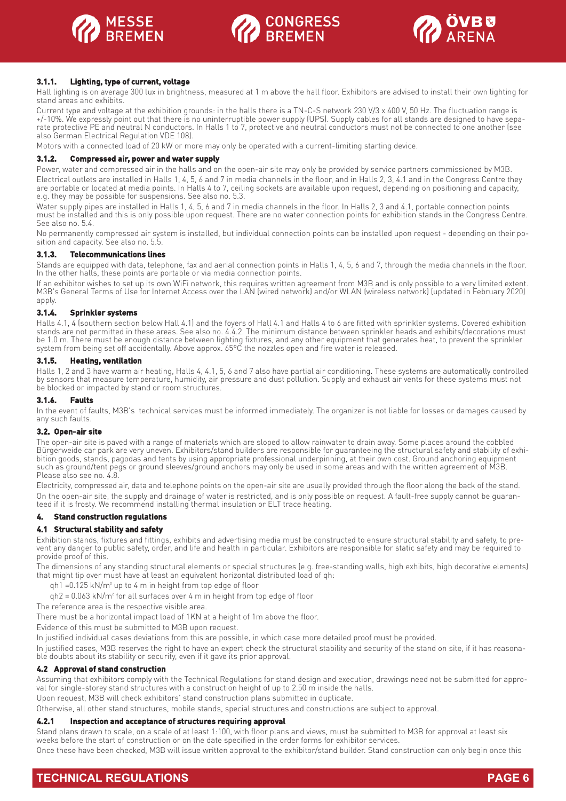





#### **3.1.1. Lighting, type of current, voltage**

Hall lighting is on average 300 lux in brightness, measured at 1 m above the hall floor. Exhibitors are advised to install their own lighting for stand areas and exhibits.

Current type and voltage at the exhibition grounds: in the halls there is a TN-C-S network 230 V/3 x 400 V, 50 Hz. The fluctuation range is +/-10%. We expressly point out that there is no uninterruptible power supply (UPS). Supply cables for all stands are designed to have separate protective PE and neutral N conductors. In Halls 1 to 7, protective and neutral conductors must not be connected to one another (see also German Electrical Regulation VDE 108).

Motors with a connected load of 20 kW or more may only be operated with a current-limiting starting device.

#### **3.1.2. Compressed air, power and water supply**

Power, water and compressed air in the halls and on the open-air site may only be provided by service partners commissioned by M3B. Electrical outlets are installed in Halls 1, 4, 5, 6 and 7 in media channels in the floor, and in Halls 2, 3, 4.1 and in the Congress Centre they are portable or located at media points. In Halls 4 to 7, ceiling sockets are available upon request, depending on positioning and capacity, e.g. they may be possible for suspensions. See also no. 5.3.

Water supply pipes are installed in Halls 1, 4, 5, 6 and 7 in media channels in the floor. In Halls 2, 3 and 4.1, portable connection points must be installed and this is only possible upon request. There are no water connection points for exhibition stands in the Congress Centre. See also no. 5.4.

No permanently compressed air system is installed, but individual connection points can be installed upon request - depending on their position and capacity. See also no. 5.5.

#### **3.1.3. Telecommunications lines**

Stands are equipped with data, telephone, fax and aerial connection points in Halls 1, 4, 5, 6 and 7, through the media channels in the floor. In the other halls, these points are portable or via media connection points.

If an exhibitor wishes to set up its own WiFi network, this requires written agreement from M3B and is only possible to a very limited extent. M3B's General Terms of Use for Internet Access over the LAN (wired network) and/or WLAN (wireless network) (updated in February 2020) apply.

#### **3.1.4. Sprinkler systems**

Halls 4.1, 4 (southern section below Hall 4.1) and the foyers of Hall 4.1 and Halls 4 to 6 are fitted with sprinkler systems. Covered exhibition stands are not permitted in these areas. See also no. 4.4.2. The minimum distance between sprinkler heads and exhibits/decorations must be 1.0 m. There must be enough distance between lighting fixtures, and any other equipment that generates heat, to prevent the sprinkler system from being set off accidentally. Above approx. 65°C the nozzles open and fire water is released.

#### **3.1.5. Heating, ventilation**

Halls 1, 2 and 3 have warm air heating, Halls 4, 4.1, 5, 6 and 7 also have partial air conditioning. These systems are automatically controlled by sensors that measure temperature, humidity, air pressure and dust pollution. Supply and exhaust air vents for these systems must not be blocked or impacted by stand or room structures.

#### **3.1.6. Faults**

In the event of faults, M3B's technical services must be informed immediately. The organizer is not liable for losses or damages caused by any such faults.

#### **3.2. Open-air site**

The open-air site is paved with a range of materials which are sloped to allow rainwater to drain away. Some places around the cobbled Bürgerweide car park are very uneven. Exhibitors/stand builders are responsible for guaranteeing the structural safety and stability of exhibition goods, stands, pagodas and tents by using appropriate professional underpinning, at their own cost. Ground anchoring equipment such as ground/tent pegs or ground sleeves/ground anchors may only be used in some areas and with the written agreement of M3B. Please also see no. 4.8.

Electricity, compressed air, data and telephone points on the open-air site are usually provided through the floor along the back of the stand. On the open-air site, the supply and drainage of water is restricted, and is only possible on request. A fault-free supply cannot be guaranteed if it is frosty. We recommend installing thermal insulation or ELT trace heating.

#### **4. Stand construction regulations**

#### **4.1 Structural stability and safety**

Exhibition stands, fixtures and fittings, exhibits and advertising media must be constructed to ensure structural stability and safety, to prevent any danger to public safety, order, and life and health in particular. Exhibitors are responsible for static safety and may be required to provide proof of this.

The dimensions of any standing structural elements or special structures (e.g. free-standing walls, high exhibits, high decorative elements) that might tip over must have at least an equivalent horizontal distributed load of qh:

qh1 =0.125 kN/m² up to 4 m in height from top edge of floor

qh2 = 0.063 kN/m² for all surfaces over 4 m in height from top edge of floor

The reference area is the respective visible area.

There must be a horizontal impact load of 1KN at a height of 1m above the floor.

Evidence of this must be submitted to M3B upon request.

In justified individual cases deviations from this are possible, in which case more detailed proof must be provided.

In justified cases, M3B reserves the right to have an expert check the structural stability and security of the stand on site, if it has reasonable doubts about its stability or security, even if it gave its prior approval.

#### **4.2 Approval of stand construction**

Assuming that exhibitors comply with the Technical Regulations for stand design and execution, drawings need not be submitted for approval for single-storey stand structures with a construction height of up to 2.50 m inside the halls.

Upon request, M3B will check exhibitors' stand construction plans submitted in duplicate.

Otherwise, all other stand structures, mobile stands, special structures and constructions are subject to approval.

#### **4.2.1 Inspection and acceptance of structures requiring approval**

Stand plans drawn to scale, on a scale of at least 1:100, with floor plans and views, must be submitted to M3B for approval at least six weeks before the start of construction or on the date specified in the order forms for exhibitor services.

Once these have been checked, M3B will issue written approval to the exhibitor/stand builder. Stand construction can only begin once this

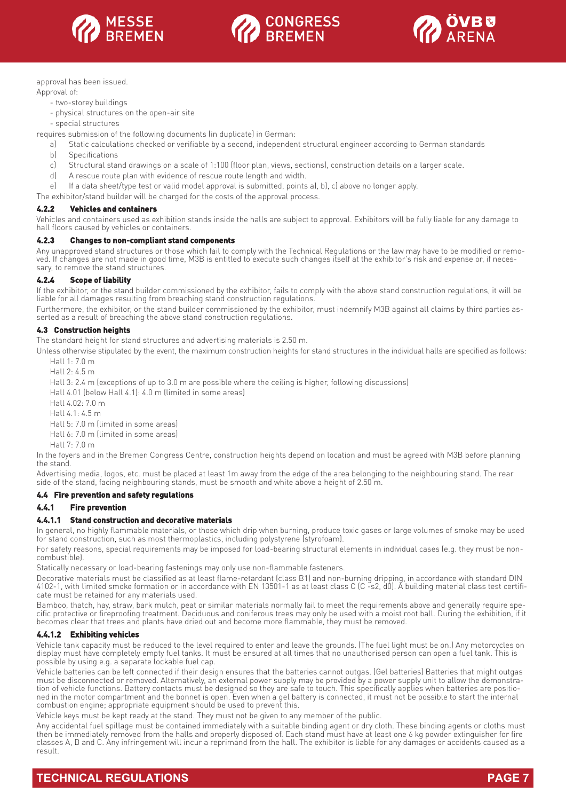





approval has been issued.

Approval of:

- two-storey buildings
- physical structures on the open-air site
- special structures

requires submission of the following documents (in duplicate) in German:

- a) Static calculations checked or verifiable by a second, independent structural engineer according to German standards
- b) Specifications
- c) Structural stand drawings on a scale of 1:100 (floor plan, views, sections), construction details on a larger scale.
- d) A rescue route plan with evidence of rescue route length and width.

e) If a data sheet/type test or valid model approval is submitted, points a), b), c) above no longer apply.

The exhibitor/stand builder will be charged for the costs of the approval process.

#### **4.2.2 Vehicles and containers**

Vehicles and containers used as exhibition stands inside the halls are subject to approval. Exhibitors will be fully liable for any damage to hall floors caused by vehicles or containers.

#### **4.2.3 Changes to non-compliant stand components**

Any unapproved stand structures or those which fail to comply with the Technical Regulations or the law may have to be modified or removed. If changes are not made in good time, M3B is entitled to execute such changes itself at the exhibitor's risk and expense or, if necessary, to remove the stand structures.

#### **4.2.4 Scope of liability**

If the exhibitor, or the stand builder commissioned by the exhibitor, fails to comply with the above stand construction regulations, it will be liable for all damages resulting from breaching stand construction regulations.

Furthermore, the exhibitor, or the stand builder commissioned by the exhibitor, must indemnify M3B against all claims by third parties asserted as a result of breaching the above stand construction regulations.

#### **4.3 Construction heights**

The standard height for stand structures and advertising materials is 2.50 m.

Unless otherwise stipulated by the event, the maximum construction heights for stand structures in the individual halls are specified as follows:

Hall  $1: 7.0$  m

Hall 2: 4.5 m

Hall 3: 2.4 m (exceptions of up to 3.0 m are possible where the ceiling is higher, following discussions)

Hall 4.01 (below Hall 4.1): 4.0 m (limited in some areas)

Hall  $4.02 \cdot 7.0$  m

Hall 4.1: 4.5 m

Hall 5: 7.0 m (limited in some areas)

Hall 6: 7.0 m (limited in some areas)

Hall 7: 7.0 m

In the foyers and in the Bremen Congress Centre, construction heights depend on location and must be agreed with M3B before planning the stand.

Advertising media, logos, etc. must be placed at least 1m away from the edge of the area belonging to the neighbouring stand. The rear side of the stand, facing neighbouring stands, must be smooth and white above a height of 2.50 m.

#### **4.4 Fire prevention and safety regulations**

#### **4.4.1 Fire prevention**

#### **4.4.1.1 Stand construction and decorative materials**

In general, no highly flammable materials, or those which drip when burning, produce toxic gases or large volumes of smoke may be used for stand construction, such as most thermoplastics, including polystyrene (styrofoam).

For safety reasons, special requirements may be imposed for load-bearing structural elements in individual cases (e.g. they must be noncombustible).

Statically necessary or load-bearing fastenings may only use non-flammable fasteners.

Decorative materials must be classified as at least flame-retardant (class B1) and non-burning dripping, in accordance with standard DIN 4102-1, with limited smoke formation or in accordance with EN 13501-1 as at least class C (C -s2, d0). A building material class test certificate must be retained for any materials used.

Bamboo, thatch, hay, straw, bark mulch, peat or similar materials normally fail to meet the requirements above and generally require specific protective or fireproofing treatment. Deciduous and coniferous trees may only be used with a moist root ball. During the exhibition, if it becomes clear that trees and plants have dried out and become more flammable, they must be removed.

#### **4.4.1.2 Exhibiting vehicles**

Vehicle tank capacity must be reduced to the level required to enter and leave the grounds. (The fuel light must be on.) Any motorcycles on display must have completely empty fuel tanks. It must be ensured at all times that no unauthorised person can open a fuel tank. This is possible by using e.g. a separate lockable fuel cap.

Vehicle batteries can be left connected if their design ensures that the batteries cannot outgas. (Gel batteries) Batteries that might outgas must be disconnected or removed. Alternatively, an external power supply may be provided by a power supply unit to allow the demonstration of vehicle functions. Battery contacts must be designed so they are safe to touch. This specifically applies when batteries are positioned in the motor compartment and the bonnet is open. Even when a gel battery is connected, it must not be possible to start the internal combustion engine; appropriate equipment should be used to prevent this.

Vehicle keys must be kept ready at the stand. They must not be given to any member of the public.

Any accidental fuel spillage must be contained immediately with a suitable binding agent or dry cloth. These binding agents or cloths must then be immediately removed from the halls and properly disposed of. Each stand must have at least one 6 kg powder extinguisher for fire classes A, B and C. Any infringement will incur a reprimand from the hall. The exhibitor is liable for any damages or accidents caused as a result.

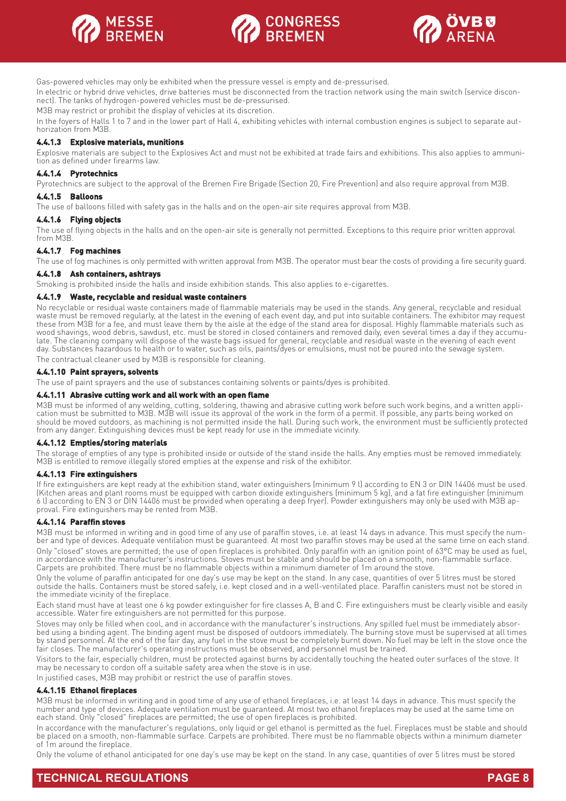





Gas-powered vehicles may only be exhibited when the pressure vessel is empty and de-pressurised.

In electric or hybrid drive vehicles, drive batteries must be disconnected from the traction network using the main switch (service disconnect). The tanks of hydrogen-powered vehicles must be de-pressurised.

M3B may restrict or prohibit the display of vehicles at its discretion.

In the foyers of Halls 1 to 7 and in the lower part of Hall 4, exhibiting vehicles with internal combustion engines is subject to separate authorization from M3B.

#### **4.4.1.3 Explosive materials, munitions**

Explosive materials are subject to the Explosives Act and must not be exhibited at trade fairs and exhibitions. This also applies to ammunition as defined under firearms law.

#### **4.4.1.4 Pyrotechnics**

Pyrotechnics are subject to the approval of the Bremen Fire Brigade (Section 20, Fire Prevention) and also require approval from M3B.

#### **4.4.1.5 Balloons**

The use of balloons filled with safety gas in the halls and on the open-air site requires approval from M3B.

#### **4.4.1.6 Flying objects**

The use of flying objects in the halls and on the open-air site is generally not permitted. Exceptions to this require prior written approval from M3B.

#### **4.4.1.7 Fog machines**

The use of fog machines is only permitted with written approval from M3B. The operator must bear the costs of providing a fire security guard.

#### **4.4.1.8 Ash containers, ashtrays**

Smoking is prohibited inside the halls and inside exhibition stands. This also applies to e-cigarettes.

#### **4.4.1.9 Waste, recyclable and residual waste containers**

No recyclable or residual waste containers made of flammable materials may be used in the stands. Any general, recyclable and residual waste must be removed regularly, at the latest in the evening of each event day, and put into suitable containers. The exhibitor may request these from M3B for a fee, and must leave them by the aisle at the edge of the stand area for disposal. Highly flammable materials such as wood shavings, wood debris, sawdust, etc. must be stored in closed containers and removed daily, even several times a day if they accumulate. The cleaning company will dispose of the waste bags issued for general, recyclable and residual waste in the evening of each event day. Substances hazardous to health or to water, such as oils, paints/dyes or emulsions, must not be poured into the sewage system.

The contractual cleaner used by M3B is responsible for cleaning.

#### **4.4.1.10 Paint sprayers, solvents**

The use of paint sprayers and the use of substances containing solvents or paints/dyes is prohibited.

#### **4.4.1.11 Abrasive cutting work and all work with an open flame**

M3B must be informed of any welding, cutting, soldering, thawing and abrasive cutting work before such work begins, and a written application must be submitted to M3B. M3B will issue its approval of the work in the form of a permit. If possible, any parts being worked on should be moved outdoors, as machining is not permitted inside the hall. During such work, the environment must be sufficiently protected from any danger. Extinguishing devices must be kept ready for use in the immediate vicinity.

#### **4.4.1.12 Empties/storing materials**

The storage of empties of any type is prohibited inside or outside of the stand inside the halls. Any empties must be removed immediately. M3B is entitled to remove illegally stored empties at the expense and risk of the exhibitor.

#### **4.4.1.13 Fire extinguishers**

If fire extinguishers are kept ready at the exhibition stand, water extinguishers (minimum 9 l) according to EN 3 or DIN 14406 must be used. (Kitchen areas and plant rooms must be equipped with carbon dioxide extinguishers (minimum 5 kg), and a fat fire extinguisher (minimum 6 l) according to EN 3 or DIN 14406 must be provided when operating a deep fryer). Powder extinguishers may only be used with M3B approval. Fire extinguishers may be rented from M3B.

#### **4.4.1.14 Paraffin stoves**

M3B must be informed in writing and in good time of any use of paraffin stoves, i.e. at least 14 days in advance. This must specify the number and type of devices. Adequate ventilation must be quaranteed. At most two paraffin stoves may be used at the same time on each stand.

Only "closed" stoves are permitted; the use of open fireplaces is prohibited. Only paraffin with an ignition point of 63°C may be used as fuel, in accordance with the manufacturer's instructions. Stoves must be stable and should be placed on a smooth, non-flammable surface. Carpets are prohibited. There must be no flammable objects within a minimum diameter of 1m around the stove.

Only the volume of paraffin anticipated for one day's use may be kept on the stand. In any case, quantities of over 5 litres must be stored outside the halls. Containers must be stored safely, i.e. kept closed and in a well-ventilated place. Paraffin canisters must not be stored in the immediate vicinity of the fireplace.

Each stand must have at least one 6 kg powder extinguisher for fire classes A, B and C. Fire extinguishers must be clearly visible and easily accessible. Water fire extinguishers are not permitted for this purpose.

Stoves may only be filled when cool, and in accordance with the manufacturer's instructions. Any spilled fuel must be immediately absorbed using a binding agent. The binding agent must be disposed of outdoors immediately. The burning stove must be supervised at all times by stand personnel. At the end of the fair day, any fuel in the stove must be completely burnt down. No fuel may be left in the stove once the fair closes. The manufacturer's operating instructions must be observed, and personnel must be trained.

Visitors to the fair, especially children, must be protected against burns by accidentally touching the heated outer surfaces of the stove. It may be necessary to cordon off a suitable safety area when the stove is in use.

In justified cases, M3B may prohibit or restrict the use of paraffin stoves.

#### **4.4.1.15 Ethanol fireplaces**

M3B must be informed in writing and in good time of any use of ethanol fireplaces, i.e. at least 14 days in advance. This must specify the number and type of devices. Adequate ventilation must be guaranteed. At most two ethanol fireplaces may be used at the same time on each stand. Only "closed" fireplaces are permitted; the use of open fireplaces is prohibited.

In accordance with the manufacturer's regulations, only liquid or gel ethanol is permitted as the fuel. Fireplaces must be stable and should be placed on a smooth, non-flammable surface. Carpets are prohibited. There must be no flammable objects within a minimum diameter of 1m around the fireplace.

Only the volume of ethanol anticipated for one day's use may be kept on the stand. In any case, quantities of over 5 litres must be stored

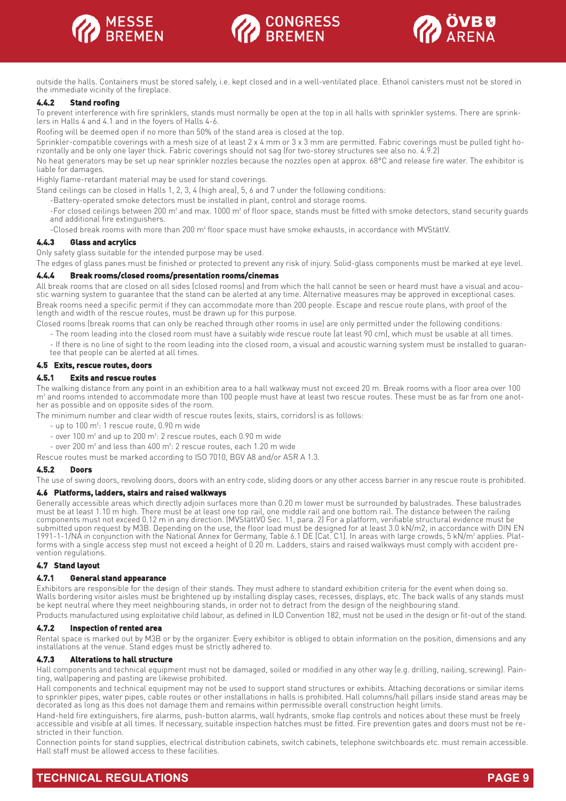





outside the halls. Containers must be stored safely, i.e. kept closed and in a well-ventilated place. Ethanol canisters must not be stored in the immediate vicinity of the fireplace.

#### **4.4.2 Stand roofing**

To prevent interference with fire sprinklers, stands must normally be open at the top in all halls with sprinkler systems. There are sprinklers in Halls 4 and 4.1 and in the foyers of Halls 4-6.

Roofing will be deemed open if no more than 50% of the stand area is closed at the top.

Sprinkler-compatible coverings with a mesh size of at least 2 x 4 mm or 3 x 3 mm are permitted. Fabric coverings must be pulled tight horizontally and be only one layer thick. Fabric coverings should not sag (for two-storey structures see also no. 4.9.2)

No heat generators may be set up near sprinkler nozzles because the nozzles open at approx. 68°C and release fire water. The exhibitor is liable for damages.

Highly flame-retardant material may be used for stand coverings.

- Stand ceilings can be closed in Halls 1, 2, 3, 4 (high area), 5, 6 and 7 under the following conditions:
	- -Battery-operated smoke detectors must be installed in plant, control and storage rooms.
	- -For closed ceilings between 200 m² and max. 1000 m² of floor space, stands must be fitted with smoke detectors, stand security guards and additional fire extinguishers.
	- -Closed break rooms with more than 200 m² floor space must have smoke exhausts, in accordance with MVStättV.

#### **4.4.3 Glass and acrylics**

Only safety glass suitable for the intended purpose may be used.

The edges of glass panes must be finished or protected to prevent any risk of injury. Solid-glass components must be marked at eye level.

#### **4.4.4 Break rooms/closed rooms/presentation rooms/cinemas**

All break rooms that are closed on all sides (closed rooms) and from which the hall cannot be seen or heard must have a visual and acoustic warning system to guarantee that the stand can be alerted at any time. Alternative measures may be approved in exceptional cases. Break rooms need a specific permit if they can accommodate more than 200 people. Escape and rescue route plans, with proof of the length and width of the rescue routes, must be drawn up for this purpose.

Closed rooms (break rooms that can only be reached through other rooms in use) are only permitted under the following conditions:

- The room leading into the closed room must have a suitably wide rescue route (at least 90 cm), which must be usable at all times.
- If there is no line of sight to the room leading into the closed room, a visual and acoustic warning system must be installed to guarantee that people can be alerted at all times.
- **4.5 Exits, rescue routes, doors**

# **4.5.1 Exits and rescue routes**

The walking distance from any point in an exhibition area to a hall walkway must not exceed 20 m. Break rooms with a floor area over 100 m<sup>2</sup> and rooms intended to accommodate more than 100 people must have at least two rescue routes. These must be as far from one another as possible and on opposite sides of the room.

The minimum number and clear width of rescue routes (exits, stairs, corridors) is as follows:

- up to 100 m²: 1 rescue route, 0.90 m wide
- over 100 m² and up to 200 m²: 2 rescue routes, each 0.90 m wide
- over 200 m² and less than 400 m²: 2 rescue routes, each 1.20 m wide

Rescue routes must be marked according to ISO 7010, BGV A8 and/or ASR A 1.3.

#### **4.5.2 Doors**

The use of swing doors, revolving doors, doors with an entry code, sliding doors or any other access barrier in any rescue route is prohibited.

#### **4.6 Platforms, ladders, stairs and raised walkways**

Generally accessible areas which directly adjoin surfaces more than 0.20 m lower must be surrounded by balustrades. These balustrades must be at least 1.10 m high. There must be at least one top rail, one middle rail and one bottom rail. The distance between the railing components must not exceed 0.12 m in any direction. (MVStättVO Sec. 11, para. 2) For a platform, verifiable structural evidence must be submitted upon request by M3B. Depending on the use, the floor load must be designed for at least 3.0 kN/m2, in accordance with DIN EN 1991-1-1/NA in conjunction with the National Annex for Germany, Table 6.1 DE [Cat. C1]. In areas with large crowds, 5 kN/m² applies. Platforms with a single access step must not exceed a height of 0.20 m. Ladders, stairs and raised walkways must comply with accident prevention regulations.

#### **4.7 Stand layout**

#### **4.7.1 General stand appearance**

Exhibitors are responsible for the design of their stands. They must adhere to standard exhibition criteria for the event when doing so. Walls bordering visitor aisles must be brightened up by installing display cases, recesses, displays, etc. The back walls of any stands must be kept neutral where they meet neighbouring stands, in order not to detract from the design of the neighbouring stand.

Products manufactured using exploitative child labour, as defined in ILO Convention 182, must not be used in the design or fit-out of the stand. **4.7.2 Inspection of rented area**

Rental space is marked out by M3B or by the organizer. Every exhibitor is obliged to obtain information on the position, dimensions and any installations at the venue. Stand edges must be strictly adhered to.

#### **4.7.3 Alterations to hall structure**

Hall components and technical equipment must not be damaged, soiled or modified in any other way (e.g. drilling, nailing, screwing). Painting, wallpapering and pasting are likewise prohibited.

Hall components and technical equipment may not be used to support stand structures or exhibits. Attaching decorations or similar items to sprinkler pipes, water pipes, cable routes or other installations in halls is prohibited. Hall columns/hall pillars inside stand areas may be decorated as long as this does not damage them and remains within permissible overall construction height limits.

Hand-held fire extinguishers, fire alarms, push-button alarms, wall hydrants, smoke flap controls and notices about these must be freely accessible and visible at all times. If necessary, suitable inspection hatches must be fitted. Fire prevention gates and doors must not be restricted in their function.

Connection points for stand supplies, electrical distribution cabinets, switch cabinets, telephone switchboards etc. must remain accessible. Hall staff must be allowed access to these facilities.

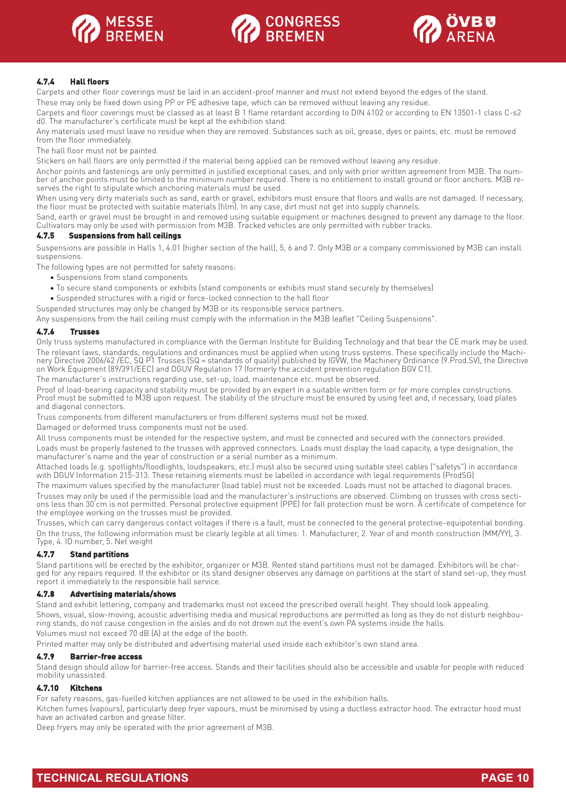





### **4.7.4 Hall floors**

Carpets and other floor coverings must be laid in an accident-proof manner and must not extend beyond the edges of the stand.

These may only be fixed down using PP or PE adhesive tape, which can be removed without leaving any residue.

Carpets and floor coverings must be classed as at least B 1 flame retardant according to DIN 4102 or according to EN 13501-1 class C-s2 d0. The manufacturer's certificate must be kept at the exhibition stand.

Any materials used must leave no residue when they are removed. Substances such as oil, grease, dyes or paints, etc. must be removed from the floor immediately.

The hall floor must not be painted.

Stickers on hall floors are only permitted if the material being applied can be removed without leaving any residue.

Anchor points and fastenings are only permitted in justified exceptional cases, and only with prior written agreement from M3B. The number of anchor points must be limited to the minimum number required. There is no entitlement to install ground or floor anchors. M3B reserves the right to stipulate which anchoring materials must be used.

When using very dirty materials such as sand, earth or gravel, exhibitors must ensure that floors and walls are not damaged. If necessary, the floor must be protected with suitable materials (film). In any case, dirt must not get into supply channels.

Sand, earth or gravel must be brought in and removed using suitable equipment or machines designed to prevent any damage to the floor. Cultivators may only be used with permission from M3B. Tracked vehicles are only permitted with rubber tracks.

#### **4.7.5 Suspensions from hall ceilings**

Suspensions are possible in Halls 1, 4.01 (higher section of the hall), 5, 6 and 7. Only M3B or a company commissioned by M3B can install suspensions.

The following types are not permitted for safety reasons:

- Suspensions from stand components
- To secure stand components or exhibits (stand components or exhibits must stand securely by themselves)
- Suspended structures with a rigid or force-locked connection to the hall floor

Suspended structures may only be changed by M3B or its responsible service partners.

Any suspensions from the hall ceiling must comply with the information in the M3B leaflet "Ceiling Suspensions".

#### **4.7.6 Trusses**

Only truss systems manufactured in compliance with the German Institute for Building Technology and that bear the CE mark may be used. The relevant laws, standards, regulations and ordinances must be applied when using truss systems. These specifically include the Machinery Directive 2006/42 /EC, SQ P1 Trusses (SQ = standards of quality) published by IGVW, the Machinery Ordinance (9.Prod.SV), the Directive on Work Equipment (89/391/EEC) and DGUV Regulation 17 (formerly the accident prevention regulation BGV C1).

The manufacturer's instructions regarding use, set-up, load, maintenance etc. must be observed.

Proof of load-bearing capacity and stability must be provided by an expert in a suitable written form or for more complex constructions. Proof must be submitted to M3B upon request. The stability of the structure must be ensured by using feet and, if necessary, load plates and diagonal connectors.

Truss components from different manufacturers or from different systems must not be mixed.

Damaged or deformed truss components must not be used.

All truss components must be intended for the respective system, and must be connected and secured with the connectors provided. Loads must be properly fastened to the trusses with approved connectors. Loads must display the load capacity, a type designation, the manufacturer's name and the year of construction or a serial number as a minimum.

Attached loads (e.g. spotlights/floodlights, loudspeakers, etc.) must also be secured using suitable steel cables ("safetys") in accordance with DGUV Information 215-313. These retaining elements must be labelled in accordance with legal requirements (ProdSG)

The maximum values specified by the manufacturer (load table) must not be exceeded. Loads must not be attached to diagonal braces. Trusses may only be used if the permissible load and the manufacturer's instructions are observed. Climbing on trusses with cross sections less than 30 cm is not permitted. Personal protective equipment (PPE) for fall protection must be worn. A certificate of competence for the employee working on the trusses must be provided.

Trusses, which can carry dangerous contact voltages if there is a fault, must be connected to the general protective-equipotential bonding. On the truss, the following information must be clearly legible at all times: 1. Manufacturer, 2. Year of and month construction (MM/YY), 3. Type, 4. ID number, 5. Net weight

#### **4.7.7 Stand partitions**

Stand partitions will be erected by the exhibitor, organizer or M3B. Rented stand partitions must not be damaged. Exhibitors will be charged for any repairs required. If the exhibitor or its stand designer observes any damage on partitions at the start of stand set-up, they must report it immediately to the responsible hall service.

#### **4.7.8 Advertising materials/shows**

Stand and exhibit lettering, company and trademarks must not exceed the prescribed overall height. They should look appealing. Shows, visual, slow-moving, acoustic advertising media and musical reproductions are permitted as long as they do not disturb neighbouring stands, do not cause congestion in the aisles and do not drown out the event's own PA systems inside the halls. Volumes must not exceed 70 dB (A) at the edge of the booth.

Printed matter may only be distributed and advertising material used inside each exhibitor's own stand area.

#### **4.7.9 Barrier-free access**

Stand design should allow for barrier-free access. Stands and their facilities should also be accessible and usable for people with reduced mobility unassisted.

#### **4.7.10 Kitchens**

For safety reasons, gas-fuelled kitchen appliances are not allowed to be used in the exhibition halls.

Kitchen fumes (vapours), particularly deep fryer vapours, must be minimised by using a ductless extractor hood. The extractor hood must have an activated carbon and grease filter.

Deep fryers may only be operated with the prior agreement of M3B.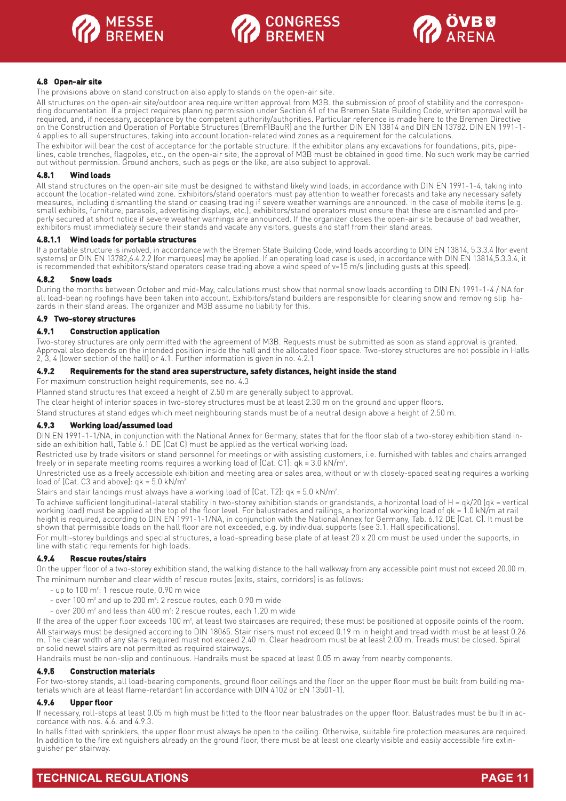





#### **4.8 Open-air site**

The provisions above on stand construction also apply to stands on the open-air site.

All structures on the open-air site/outdoor area require written approval from M3B. the submission of proof of stability and the corresponding documentation. If a project requires planning permission under Section 61 of the Bremen State Building Code, written approval will be required, and, if necessary, acceptance by the competent authority/authorities. Particular reference is made here to the Bremen Directive on the Construction and Operation of Portable Structures (BremFIBauR) and the further DIN EN 13814 and DIN EN 13782. DIN EN 1991-1- 4 applies to all superstructures, taking into account location-related wind zones as a requirement for the calculations.

The exhibitor will bear the cost of acceptance for the portable structure. If the exhibitor plans any excavations for foundations, pits, pipelines, cable trenches, flagpoles, etc., on the open-air site, the approval of M3B must be obtained in good time. No such work may be carried out without permission. Ground anchors, such as pegs or the like, are also subject to approval.

#### **4.8.1 Wind loads**

All stand structures on the open-air site must be designed to withstand likely wind loads, in accordance with DIN EN 1991-1-4, taking into account the location-related wind zone. Exhibitors/stand operators must pay attention to weather forecasts and take any necessary safety measures, including dismantling the stand or ceasing trading if severe weather warnings are announced. In the case of mobile items (e.g. small exhibits, furniture, parasols, advertising displays, etc.), exhibitors/stand operators must ensure that these are dismantled and properly secured at short notice if severe weather warnings are announced. If the organizer closes the open-air site because of bad weather, exhibitors must immediately secure their stands and vacate any visitors, guests and staff from their stand areas.

#### **4.8.1.1 Wind loads for portable structures**

If a portable structure is involved, in accordance with the Bremen State Building Code, wind loads according to DIN EN 13814, 5.3.3.4 (for event systems) or DIN EN 13782,6.4.2.2 (for marquees) may be applied. If an operating load case is used, in accordance with DIN EN 13814,5.3.3.4, it is recommended that exhibitors/stand operators cease trading above a wind speed of v=15 m/s (including gusts at this speed).

#### **4.8.2 Snow loads**

During the months between October and mid-May, calculations must show that normal snow loads according to DIN EN 1991-1-4 / NA for all load-bearing roofings have been taken into account. Exhibitors/stand builders are responsible for clearing snow and removing slip hazards in their stand areas. The organizer and M3B assume no liability for this.

#### **4.9 Two-storey structures**

#### **4.9.1 Construction application**

Two-storey structures are only permitted with the agreement of M3B. Requests must be submitted as soon as stand approval is granted. Approval also depends on the intended position inside the hall and the allocated floor space. Two-storey structures are not possible in Halls 2, 3, 4 (lower section of the hall) or 4.1. Further information is given in no. 4.2.1

#### **4.9.2 Requirements for the stand area superstructure, safety distances, height inside the stand**

For maximum construction height requirements, see no. 4.3

Planned stand structures that exceed a height of 2.50 m are generally subject to approval.

The clear height of interior spaces in two-storey structures must be at least 2.30 m on the ground and upper floors.

Stand structures at stand edges which meet neighbouring stands must be of a neutral design above a height of 2.50 m.

#### **4.9.3 Working load/assumed load**

DIN EN 1991-1-1/NA, in conjunction with the National Annex for Germany, states that for the floor slab of a two-storey exhibition stand inside an exhibition hall, Table 6.1 DE (Cat C) must be applied as the vertical working load:

Restricted use by trade visitors or stand personnel for meetings or with assisting customers, i.e. furnished with tables and chairs arranged freely or in separate meeting rooms requires a working load of [Cat. C1]: qk = 3.0 kN/m².

Unrestricted use as a freely accessible exhibition and meeting area or sales area, without or with closely-spaced seating requires a working load of [Cat. C3 and above]:  $qk = 5.0 \text{ kN/m}^2$ .

Stairs and stair landings must always have a working load of [Cat. T2]: qk = 5.0 kN/m².

To achieve sufficient longitudinal-lateral stability in two-storey exhibition stands or grandstands, a horizontal load of H = qk/20 (qk = vertical working load) must be applied at the top of the floor level. For balustrades and railings, a horizontal working load of qk = 1.0 kN/m at rail height is required, according to DIN EN 1991-1-1/NA, in conjunction with the National Annex for Germany, Tab. 6.12 DE [Cat. C]. It must be shown that permissible loads on the hall floor are not exceeded, e.g. by individual supports (see 3.1. Hall specifications).

For multi-storey buildings and special structures, a load-spreading base plate of at least 20 x 20 cm must be used under the supports, in line with static requirements for high loads.

#### **4.9.4 Rescue routes/stairs**

On the upper floor of a two-storey exhibition stand, the walking distance to the hall walkway from any accessible point must not exceed 20.00 m. The minimum number and clear width of rescue routes (exits, stairs, corridors) is as follows:

- up to 100 m²: 1 rescue route, 0.90 m wide
- over 100 m² and up to 200 m²: 2 rescue routes, each 0.90 m wide
- over 200 m² and less than 400 m²: 2 rescue routes, each 1.20 m wide

If the area of the upper floor exceeds 100 m<sup>2</sup>, at least two staircases are required; these must be positioned at opposite points of the room. All stairways must be designed according to DIN 18065. Stair risers must not exceed 0.19 m in height and tread width must be at least 0.26 m. The clear width of any stairs required must not exceed 2.40 m. Clear headroom must be at least 2.00 m. Treads must be closed. Spiral or solid newel stairs are not permitted as required stairways.

Handrails must be non-slip and continuous. Handrails must be spaced at least 0.05 m away from nearby components.

#### **4.9.5 Construction materials**

For two-storey stands, all load-bearing components, ground floor ceilings and the floor on the upper floor must be built from building materials which are at least flame-retardant (in accordance with DIN 4102 or EN 13501-1).

#### **4.9.6 Upper floor**

If necessary, roll-stops at least 0.05 m high must be fitted to the floor near balustrades on the upper floor. Balustrades must be built in accordance with nos. 4.6. and 4.9.3.

In halls fitted with sprinklers, the upper floor must always be open to the ceiling. Otherwise, suitable fire protection measures are required. In addition to the fire extinguishers already on the ground floor, there must be at least one clearly visible and easily accessible fire extinguisher per stairway.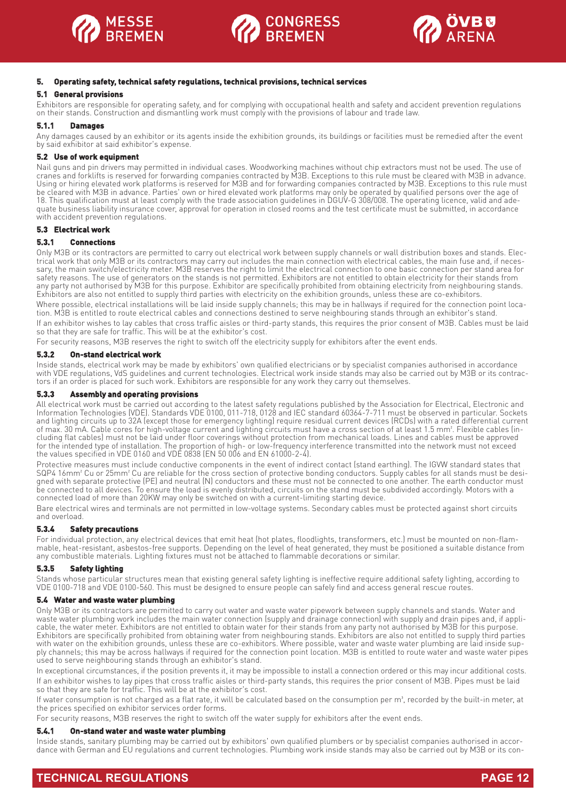





#### **5. Operating safety, technical safety regulations, technical provisions, technical services**

#### **5.1 General provisions**

Exhibitors are responsible for operating safety, and for complying with occupational health and safety and accident prevention regulations on their stands. Construction and dismantling work must comply with the provisions of labour and trade law.

#### **5.1.1 Damages**

Any damages caused by an exhibitor or its agents inside the exhibition grounds, its buildings or facilities must be remedied after the event by said exhibitor at said exhibitor's expense.

#### **5.2 Use of work equipment**

Nail guns and pin drivers may permitted in individual cases. Woodworking machines without chip extractors must not be used. The use of cranes and forklifts is reserved for forwarding companies contracted by M3B. Exceptions to this rule must be cleared with M3B in advance. Using or hiring elevated work platforms is reserved for M3B and for forwarding companies contracted by M3B. Exceptions to this rule must be cleared with M3B in advance. Parties' own or hired elevated work platforms may only be operated by qualified persons over the age of 18. This qualification must at least comply with the trade association guidelines in DGUV-G 308/008. The operating licence, valid and adequate business liability insurance cover, approval for operation in closed rooms and the test certificate must be submitted, in accordance with accident prevention regulations.

#### **5.3 Electrical work**

#### **5.3.1 Connections**

Only M3B or its contractors are permitted to carry out electrical work between supply channels or wall distribution boxes and stands. Electrical work that only M3B or its contractors may carry out includes the main connection with electrical cables, the main fuse and, if necessary, the main switch/electricity meter. M3B reserves the right to limit the electrical connection to one basic connection per stand area for safety reasons. The use of generators on the stands is not permitted. Exhibitors are not entitled to obtain electricity for their stands from any party not authorised by M3B for this purpose. Exhibitor are specifically prohibited from obtaining electricity from neighbouring stands. Exhibitors are also not entitled to supply third parties with electricity on the exhibition grounds, unless these are co-exhibitors.

Where possible, electrical installations will be laid inside supply channels; this may be in hallways if required for the connection point location. M3B is entitled to route electrical cables and connections destined to serve neighbouring stands through an exhibitor's stand. If an exhibitor wishes to lay cables that cross traffic aisles or third-party stands, this requires the prior consent of M3B. Cables must be laid

so that they are safe for traffic. This will be at the exhibitor's cost. For security reasons, M3B reserves the right to switch off the electricity supply for exhibitors after the event ends.

#### **5.3.2 On-stand electrical work**

Inside stands, electrical work may be made by exhibitors' own qualified electricians or by specialist companies authorised in accordance with VDE regulations, VdS guidelines and current technologies. Electrical work inside stands may also be carried out by M3B or its contractors if an order is placed for such work. Exhibitors are responsible for any work they carry out themselves.

#### **5.3.3 Assembly and operating provisions**

All electrical work must be carried out according to the latest safety regulations published by the Association for Electrical, Electronic and Information Technologies (VDE). Standards VDE 0100, 011-718, 0128 and IEC standard 60364-7-711 must be observed in particular. Sockets and lighting circuits up to 32A (except those for emergency lighting) require residual current devices (RCDs) with a rated differential current of max. 30 mA. Cable cores for high-voltage current and lighting circuits must have a cross section of at least 1.5 mm². Flexible cables (including flat cables) must not be laid under floor coverings without protection from mechanical loads. Lines and cables must be approved for the intended type of installation. The proportion of high- or low-frequency interference transmitted into the network must not exceed the values specified in VDE 0160 and VDE 0838 (EN 50 006 and EN 61000-2-4).

Protective measures must include conductive components in the event of indirect contact (stand earthing). The IGVW standard states that SQP4 16mm<sup>2</sup> Cu or 25mm<sup>2</sup> Cu are reliable for the cross section of protective bonding conductors. Supply cables for all stands must be designed with separate protective (PE) and neutral (N) conductors and these must not be connected to one another. The earth conductor must be connected to all devices. To ensure the load is evenly distributed, circuits on the stand must be subdivided accordingly. Motors with a connected load of more than 20KW may only be switched on with a current-limiting starting device.

Bare electrical wires and terminals are not permitted in low-voltage systems. Secondary cables must be protected against short circuits and overload.

#### **5.3.4 Safety precautions**

For individual protection, any electrical devices that emit heat (hot plates, floodlights, transformers, etc.) must be mounted on non-flammable, heat-resistant, asbestos-free supports. Depending on the level of heat generated, they must be positioned a suitable distance from any combustible materials. Lighting fixtures must not be attached to flammable decorations or similar.

#### **5.3.5 Safety lighting**

Stands whose particular structures mean that existing general safety lighting is ineffective require additional safety lighting, according to VDE 0100-718 and VDE 0100-560. This must be designed to ensure people can safely find and access general rescue routes.

#### **5.4 Water and waste water plumbing**

Only M3B or its contractors are permitted to carry out water and waste water pipework between supply channels and stands. Water and waste water plumbing work includes the main water connection (supply and drainage connection) with supply and drain pipes and, if applicable, the water meter. Exhibitors are not entitled to obtain water for their stands from any party not authorised by M3B for this purpose. Exhibitors are specifically prohibited from obtaining water from neighbouring stands. Exhibitors are also not entitled to supply third parties with water on the exhibition grounds, unless these are co-exhibitors. Where possible, water and waste water plumbing are laid inside supply channels; this may be across hallways if required for the connection point location. M3B is entitled to route water and waste water pipes used to serve neighbouring stands through an exhibitor's stand.

In exceptional circumstances, if the position prevents it, it may be impossible to install a connection ordered or this may incur additional costs. If an exhibitor wishes to lay pipes that cross traffic aisles or third-party stands, this requires the prior consent of M3B. Pipes must be laid so that they are safe for traffic. This will be at the exhibitor's cost.

If water consumption is not charged as a flat rate, it will be calculated based on the consumption per m<sup>3</sup>, recorded by the built-in meter, at the prices specified on exhibitor services order forms.

For security reasons, M3B reserves the right to switch off the water supply for exhibitors after the event ends.

#### **5.4.1 On-stand water and waste water plumbing**

Inside stands, sanitary plumbing may be carried out by exhibitors' own qualified plumbers or by specialist companies authorised in accordance with German and EU regulations and current technologies. Plumbing work inside stands may also be carried out by M3B or its con-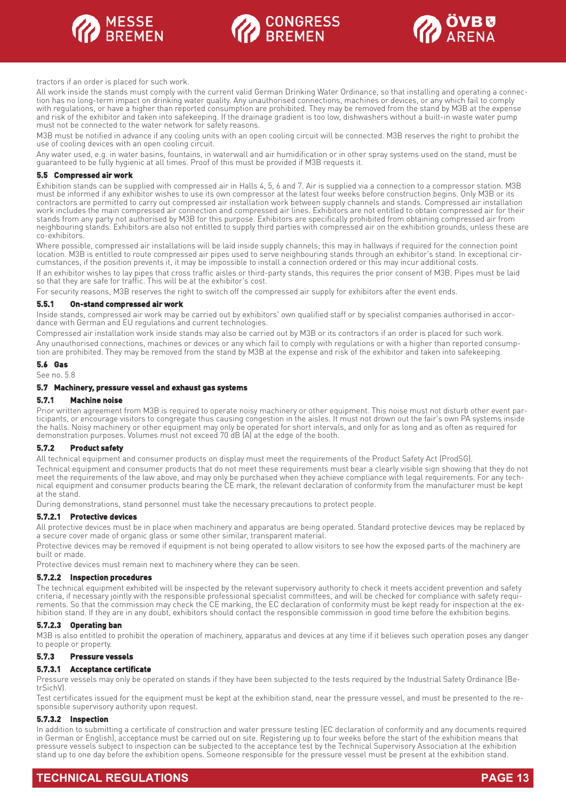





tractors if an order is placed for such work.

All work inside the stands must comply with the current valid German Drinking Water Ordinance, so that installing and operating a connection has no long-term impact on drinking water quality. Any unauthorised connections, machines or devices, or any which fail to comply with regulations, or have a higher than reported consumption are prohibited. They may be removed from the stand by M3B at the expense and risk of the exhibitor and taken into safekeeping. If the drainage gradient is too low, dishwashers without a built-in waste water pump must not be connected to the water network for safety reasons.

M3B must be notified in advance if any cooling units with an open cooling circuit will be connected. M3B reserves the right to prohibit the use of cooling devices with an open cooling circuit.

Any water used, e.g. in water basins, fountains, in waterwall and air humidification or in other spray systems used on the stand, must be guaranteed to be fully hygienic at all times. Proof of this must be provided if M3B requests it.

#### **5.5 Compressed air work**

Exhibition stands can be supplied with compressed air in Halls 4, 5, 6 and 7. Air is supplied via a connection to a compressor station. M3B must be informed if any exhibitor wishes to use its own compressor at the latest four weeks before construction begins. Only M3B or its contractors are permitted to carry out compressed air installation work between supply channels and stands. Compressed air installation work includes the main compressed air connection and compressed air lines. Exhibitors are not entitled to obtain compressed air for their stands from any party not authorised by M3B for this purpose. Exhibitors are specifically prohibited from obtaining compressed air from neighbouring stands. Exhibitors are also not entitled to supply third parties with compressed air on the exhibition grounds, unless these are co-exhibitors.

Where possible, compressed air installations will be laid inside supply channels; this may in hallways if required for the connection point location. M3B is entitled to route compressed air pipes used to serve neighbouring stands through an exhibitor's stand. In exceptional circumstances, if the position prevents it, it may be impossible to install a connection ordered or this may incur additional costs.

If an exhibitor wishes to lay pipes that cross traffic aisles or third-party stands, this requires the prior consent of M3B. Pipes must be laid so that they are safe for traffic. This will be at the exhibitor's cost.

For security reasons, M3B reserves the right to switch off the compressed air supply for exhibitors after the event ends.

#### **5.5.1 On-stand compressed air work**

Inside stands, compressed air work may be carried out by exhibitors' own qualified staff or by specialist companies authorised in accordance with German and EU regulations and current technologies.

Compressed air installation work inside stands may also be carried out by M3B or its contractors if an order is placed for such work. Any unauthorised connections, machines or devices or any which fail to comply with regulations or with a higher than reported consumption are prohibited. They may be removed from the stand by M3B at the expense and risk of the exhibitor and taken into safekeeping.

#### **5.6 Gas**

See no. 5.8

#### **5.7 Machinery, pressure vessel and exhaust gas systems**

#### **5.7.1 Machine noise**

Prior written agreement from M3B is required to operate noisy machinery or other equipment. This noise must not disturb other event participants, or encourage visitors to congregate thus causing congestion in the aisles. It must not drown out the fair's own PA systems inside the halls. Noisy machinery or other equipment may only be operated for short intervals, and only for as long and as often as required for demonstration purposes. Volumes must not exceed 70 dB (A) at the edge of the booth.

#### **5.7.2 Product safety**

All technical equipment and consumer products on display must meet the requirements of the Product Safety Act (ProdSG).

Technical equipment and consumer products that do not meet these requirements must bear a clearly visible sign showing that they do not meet the requirements of the law above, and may only be purchased when they achieve compliance with legal requirements. For any technical equipment and consumer products bearing the CE mark, the relevant declaration of conformity from the manufacturer must be kept at the stand.

During demonstrations, stand personnel must take the necessary precautions to protect people.

#### **5.7.2.1 Protective devices**

All protective devices must be in place when machinery and apparatus are being operated. Standard protective devices may be replaced by a secure cover made of organic glass or some other similar, transparent material.

Protective devices may be removed if equipment is not being operated to allow visitors to see how the exposed parts of the machinery are built or made.

Protective devices must remain next to machinery where they can be seen.

#### **5.7.2.2 Inspection procedures**

The technical equipment exhibited will be inspected by the relevant supervisory authority to check it meets accident prevention and safety criteria, if necessary jointly with the responsible professional specialist committees, and will be checked for compliance with safety requirements. So that the commission may check the CE marking, the EC declaration of conformity must be kept ready for inspection at the exhibition stand. If they are in any doubt, exhibitors should contact the responsible commission in good time before the exhibition begins.

#### **5.7.2.3 Operating ban**

M3B is also entitled to prohibit the operation of machinery, apparatus and devices at any time if it believes such operation poses any danger to people or property.

#### **5.7.3 Pressure vessels**

#### **5.7.3.1 Acceptance certificate**

Pressure vessels may only be operated on stands if they have been subjected to the tests required by the Industrial Safety Ordinance (BetrSichV).

Test certificates issued for the equipment must be kept at the exhibition stand, near the pressure vessel, and must be presented to the responsible supervisory authority upon request.

#### **5.7.3.2 Inspection**

In addition to submitting a certificate of construction and water pressure testing (EC declaration of conformity and any documents required in German or English), acceptance must be carried out on site. Registering up to four weeks before the start of the exhibition means that pressure vessels subject to inspection can be subjected to the acceptance test by the Technical Supervisory Association at the exhibition stand up to one day before the exhibition opens. Someone responsible for the pressure vessel must be present at the exhibition stand.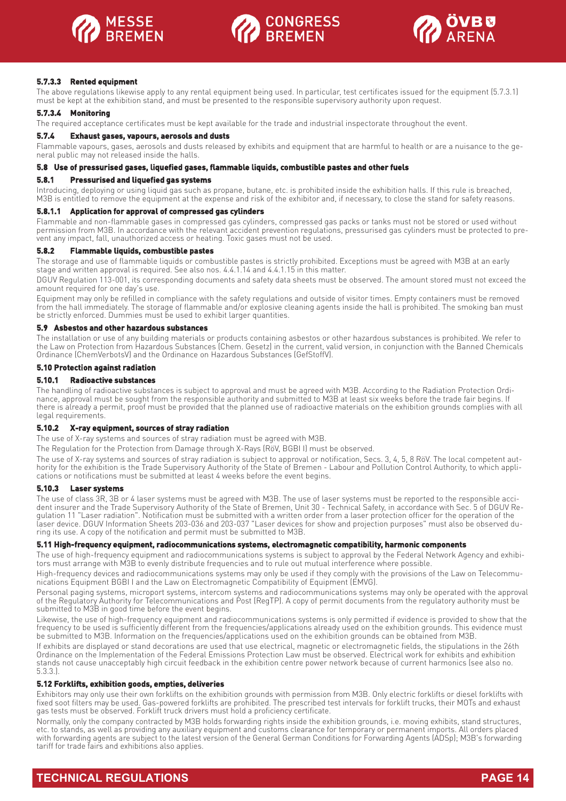





#### **5.7.3.3 Rented equipment**

The above regulations likewise apply to any rental equipment being used. In particular, test certificates issued for the equipment (5.7.3.1) must be kept at the exhibition stand, and must be presented to the responsible supervisory authority upon request.

#### **5.7.3.4 Monitoring**

The required acceptance certificates must be kept available for the trade and industrial inspectorate throughout the event.

#### **5.7.4 Exhaust gases, vapours, aerosols and dusts**

Flammable vapours, gases, aerosols and dusts released by exhibits and equipment that are harmful to health or are a nuisance to the general public may not released inside the halls.

#### **5.8 Use of pressurised gases, liquefied gases, flammable liquids, combustible pastes and other fuels**

#### **5.8.1 Pressurised and liquefied gas systems**

Introducing, deploying or using liquid gas such as propane, butane, etc. is prohibited inside the exhibition halls. If this rule is breached, M3B is entitled to remove the equipment at the expense and risk of the exhibitor and, if necessary, to close the stand for safety reasons.

#### **5.8.1.1 Application for approval of compressed gas cylinders**

Flammable and non-flammable gases in compressed gas cylinders, compressed gas packs or tanks must not be stored or used without permission from M3B. In accordance with the relevant accident prevention regulations, pressurised gas cylinders must be protected to prevent any impact, fall, unauthorized access or heating. Toxic gases must not be used.

#### **5.8.2 Flammable liquids, combustible pastes**

The storage and use of flammable liquids or combustible pastes is strictly prohibited. Exceptions must be agreed with M3B at an early stage and written approval is required. See also nos. 4.4.1.14 and 4.4.1.15 in this matter.

DGUV Regulation 113-001, its corresponding documents and safety data sheets must be observed. The amount stored must not exceed the amount required for one day's use.

Equipment may only be refilled in compliance with the safety regulations and outside of visitor times. Empty containers must be removed from the hall immediately. The storage of flammable and/or explosive cleaning agents inside the hall is prohibited. The smoking ban must be strictly enforced. Dummies must be used to exhibit larger quantities.

#### **5.9 Asbestos and other hazardous substances**

The installation or use of any building materials or products containing asbestos or other hazardous substances is prohibited. We refer to the Law on Protection from Hazardous Substances (Chem. Gesetz) in the current, valid version, in conjunction with the Banned Chemicals Ordinance (ChemVerbotsV) and the Ordinance on Hazardous Substances (GefStoffV).

#### **5.10 Protection against radiation**

#### **5.10.1 Radioactive substances**

The handling of radioactive substances is subject to approval and must be agreed with M3B. According to the Radiation Protection Ordinance, approval must be sought from the responsible authority and submitted to M3B at least six weeks before the trade fair begins. If there is already a permit, proof must be provided that the planned use of radioactive materials on the exhibition grounds complies with all legal requirements.

#### **5.10.2 X-ray equipment, sources of stray radiation**

The use of X-ray systems and sources of stray radiation must be agreed with M3B.

The Regulation for the Protection from Damage through X-Rays (RöV, BGBI I) must be observed.

The use of X-ray systems and sources of stray radiation is subject to approval or notification, Secs. 3, 4, 5, 8 RöV. The local competent authority for the exhibition is the Trade Supervisory Authority of the State of Bremen - Labour and Pollution Control Authority, to which applications or notifications must be submitted at least 4 weeks before the event begins.

#### **5.10.3 Laser systems**

The use of class 3R, 3B or 4 laser systems must be agreed with M3B. The use of laser systems must be reported to the responsible accident insurer and the Trade Supervisory Authority of the State of Bremen, Unit 30 - Technical Safety, in accordance with Sec. 5 of DGUV Regulation 11 "Laser radiation". Notification must be submitted with a written order from a laser protection officer for the operation of the laser device. DGUV Information Sheets 203-036 and 203-037 "Laser devices for show and projection purposes" must also be observed during its use. A copy of the notification and permit must be submitted to M3B.

#### **5.11 High-frequency equipment, radiocommunications systems, electromagnetic compatibility, harmonic components**

The use of high-frequency equipment and radiocommunications systems is subject to approval by the Federal Network Agency and exhibitors must arrange with M3B to evenly distribute frequencies and to rule out mutual interference where possible.

High-frequency devices and radiocommunications systems may only be used if they comply with the provisions of the Law on Telecommunications Equipment BGBI I and the Law on Electromagnetic Compatibility of Equipment (EMVG).

Personal paging systems, microport systems, intercom systems and radiocommunications systems may only be operated with the approval of the Regulatory Authority for Telecommunications and Post (RegTP). A copy of permit documents from the regulatory authority must be submitted to M3B in good time before the event begins.

Likewise, the use of high-frequency equipment and radiocommunications systems is only permitted if evidence is provided to show that the frequency to be used is sufficiently different from the frequencies/applications already used on the exhibition grounds. This evidence must be submitted to M3B. Information on the frequencies/applications used on the exhibition grounds can be obtained from M3B.

If exhibits are displayed or stand decorations are used that use electrical, magnetic or electromagnetic fields, the stipulations in the 26th Ordinance on the Implementation of the Federal Emissions Protection Law must be observed. Electrical work for exhibits and exhibition stands not cause unacceptably high circuit feedback in the exhibition centre power network because of current harmonics (see also no. 5.3.3.).

#### **5.12 Forklifts, exhibition goods, empties, deliveries**

Exhibitors may only use their own forklifts on the exhibition grounds with permission from M3B. Only electric forklifts or diesel forklifts with fixed soot filters may be used. Gas-powered forklifts are prohibited. The prescribed test intervals for forklift trucks, their MOTs and exhaust gas tests must be observed. Forklift truck drivers must hold a proficiency certificate.

Normally, only the company contracted by M3B holds forwarding rights inside the exhibition grounds, i.e. moving exhibits, stand structures, etc. to stands, as well as providing any auxiliary equipment and customs clearance for temporary or permanent imports. All orders placed with forwarding agents are subject to the latest version of the General German Conditions for Forwarding Agents (ADSp); M3B's forwarding tariff for trade fairs and exhibitions also applies.